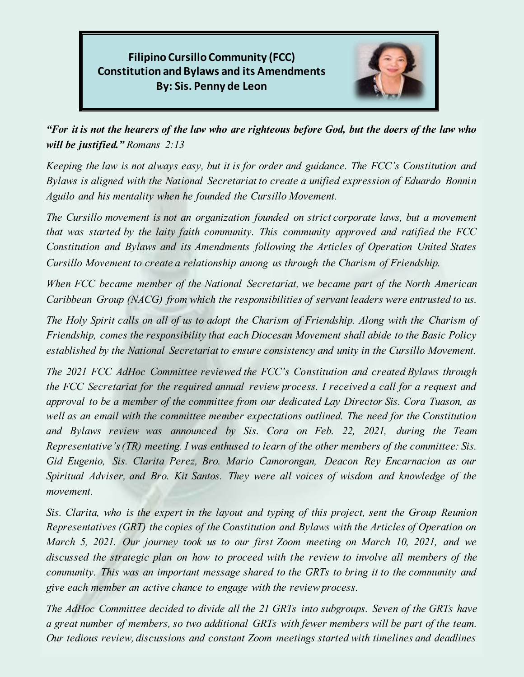**Filipino Cursillo Community (FCC) Constitution and Bylaws and its Amendments By: Sis. Penny de Leon**



*"For it is not the hearers of the law who are righteous before God, but the doers of the law who will be justified." Romans 2:13* 

*Keeping the law is not always easy, but it is for order and guidance. The FCC's Constitution and Bylaws is aligned with the National Secretariat to create a unified expression of Eduardo Bonnin Aguilo and his mentality when he founded the Cursillo Movement.* 

*The Cursillo movement is not an organization founded on strict corporate laws, but a movement that was started by the laity faith community. This community approved and ratified the FCC Constitution and Bylaws and its Amendments following the Articles of Operation United States Cursillo Movement to create a relationship among us through the Charism of Friendship.* 

*When FCC became member of the National Secretariat, we became part of the North American Caribbean Group (NACG) from which the responsibilities of servant leaders were entrusted to us.* 

*The Holy Spirit calls on all of us to adopt the Charism of Friendship. Along with the Charism of Friendship, comes the responsibility that each Diocesan Movement shall abide to the Basic Policy established by the National Secretariat to ensure consistency and unity in the Cursillo Movement.* 

*The 2021 FCC AdHoc Committee reviewed the FCC's Constitution and created Bylaws through the FCC Secretariat for the required annual review process. I received a call for a request and approval to be a member of the committee from our dedicated Lay Director Sis. Cora Tuason, as well as an email with the committee member expectations outlined. The need for the Constitution and Bylaws review was announced by Sis. Cora on Feb. 22, 2021, during the Team Representative's (TR) meeting. I was enthused to learn of the other members of the committee: Sis. Gid Eugenio, Sis. Clarita Perez, Bro. Mario Camorongan, Deacon Rey Encarnacion as our Spiritual Adviser, and Bro. Kit Santos. They were all voices of wisdom and knowledge of the movement.* 

*Sis. Clarita, who is the expert in the layout and typing of this project, sent the Group Reunion Representatives (GRT) the copies of the Constitution and Bylaws with the Articles of Operation on March 5, 2021. Our journey took us to our first Zoom meeting on March 10, 2021, and we discussed the strategic plan on how to proceed with the review to involve all members of the community. This was an important message shared to the GRTs to bring it to the community and give each member an active chance to engage with the review process.* 

*The AdHoc Committee decided to divide all the 21 GRTs into subgroups. Seven of the GRTs have a great number of members, so two additional GRTs with fewer members will be part of the team. Our tedious review, discussions and constant Zoom meetings started with timelines and deadlines*